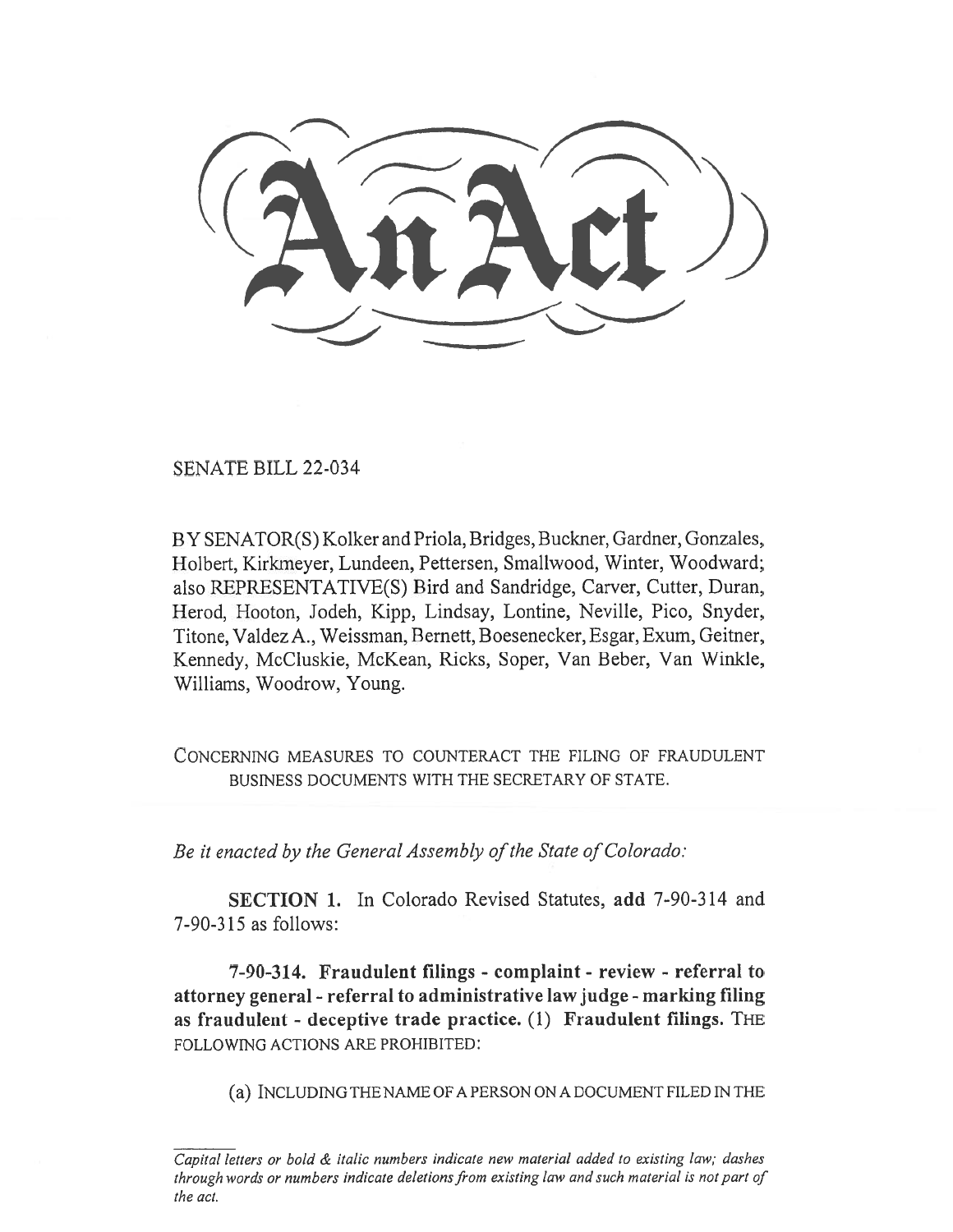SENATE BILL 22-034

BY SENATOR(S) Kolker and Priola, Bridges, Buckner, Gardner, Gonzales, Holbert, Kirkmeyer, Lundeen, Pettersen, Smallwood, Winter, Woodward; also REPRESENTATIVE(S) Bird and Sandridge, Carver, Cutter, Duran, Herod, Hooton, Jodeh, Kipp, Lindsay, Lontine, Neville, Pico, Snyder, Titone, Valdez A., Weissman, Bernet, Boesenecker, Esgar, Exum, Geitner, Kennedy, McCluskie, McKean, Ricks, Soper, Van Beber, Van Winkle, Williams, Woodrow, Young.

CONCERNING MEASURES TO COUNTERACT THE FILING OF FRAUDULENT BUSINESS DOCUMENTS WITH THE SECRETARY OF STATE.

Be it enacted by the General Assembly of the State of Colorado:

SECTION 1. In Colorado Revised Statutes, add 7-90-314 and 7-90-315 as follows:

7-90-314. Fraudulent filings - complaint - review - referral to attorney general - referral to administrative law judge - marking filing as fraudulent - deceptive trade practice. (1) Fraudulent filings. THE FOLLOWING ACTIONS ARE PROHIBITED:

(a) INCLUDING THE NAME OF A PERSON ON A DOCUMENT FILED IN THE

Capital letters or bold & italic numbers indicate new material added to existing law; dashes through words or numbers indicate deletions from existing law and such material is not part of the act.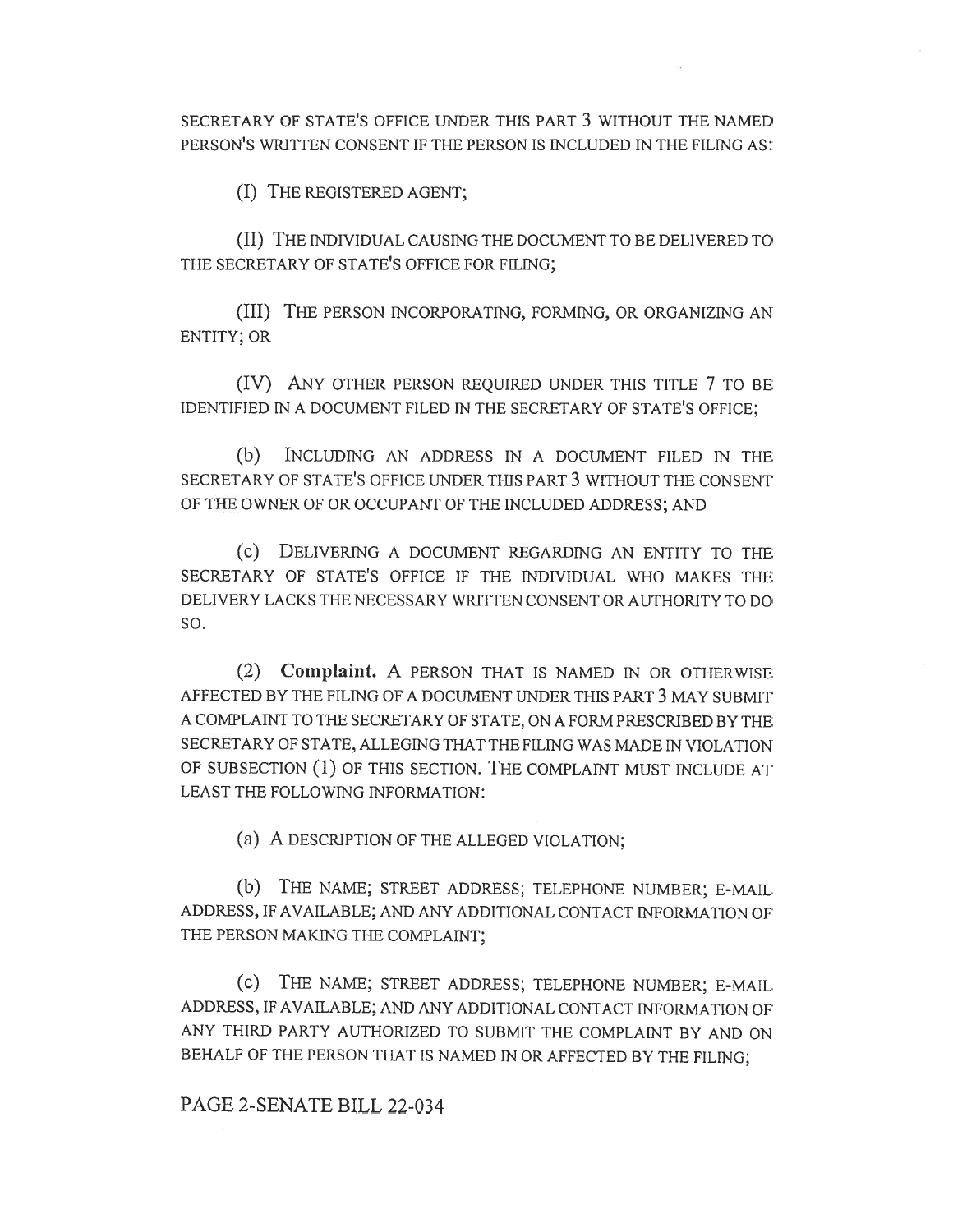SECRETARY OF STATE'S OFFICE UNDER THIS PART 3 WITHOUT THE NAMED PERSON'S WRITTEN CONSENT IF THE PERSON IS INCLUDED IN THE FILING AS:

(I) THE REGISTERED AGENT;

(II) THE INDIVIDUAL CAUSING THE DOCUMENT TO BE DELIVERED TO THE SECRETARY OF STATE'S OFFICE FOR FILING;

(III) THE PERSON INCORPORATING, FORMING, OR ORGANIZING AN ENTITY; OR

(IV) ANY OTHER PERSON REQUIRED UNDER THIS TITLE 7 TO BE IDENTIFIED IN A DOCUMENT FILED IN THE SECRETARY OF STATE'S OFFICE;

(b) INCLUDING AN ADDRESS IN A DOCUMENT FILED IN THE SECRETARY OF STATE'S OFFICE UNDER THIS PART 3 WITHOUT THE CONSENT OF THE OWNER OF OR OCCUPANT OF THE INCLUDED ADDRESS; AND

(c) DELIVERING A DOCUMENT REGARDING AN ENTITY TO THE SECRETARY OF STATE'S OFFICE IF THE INDIVIDUAL WHO MAKES THE DELIVERY LACKS THE NECESSARY WRITTEN CONSENT OR AUTHORITY TO DO SO.

(2) Complaint. A PERSON THAT IS NAMED IN OR OTHERWISE AFFECTED BY THE FILING OF A DOCUMENT UNDER THIS PART 3 MAY SUBMIT A COMPLAINT TO THE SECRETARY OF STATE, ON A FORM PRESCRIBED BY THE SECRETARY OF STATE, ALLEGING THAT THE FILING WAS MADE IN VIOLATION OF SUBSECTION (1) OF THIS SECTION. THE COMPLAINT MUST INCLUDE AT LEAST THE FOLLOWING INFORMATION:

(a) A DESCRIPTION OF THE ALLEGED VIOLATION;

(b) THE NAME; STREET ADDRESS; TELEPHONE NUMBER; E-MAIL ADDRESS, IF AVAILABLE; AND ANY ADDITIONAL CONTACT INFORMATION OF THE PERSON MAKING THE COMPLAINT;

(c) THE NAME; STREET ADDRESS; TELEPHONE NUMBER; E-MAIL ADDRESS, IF AVAILABLE; AND ANY ADDITIONAL CONTACT INFORMATION OF ANY THIRD PARTY AUTHORIZED TO SUBMIT THE COMPLAINT BY AND ON BEHALF OF THE PERSON THAT IS NAMED IN OR AFFECTED BY THE FILING;

## PAGE 2-SENATE BILL 22-034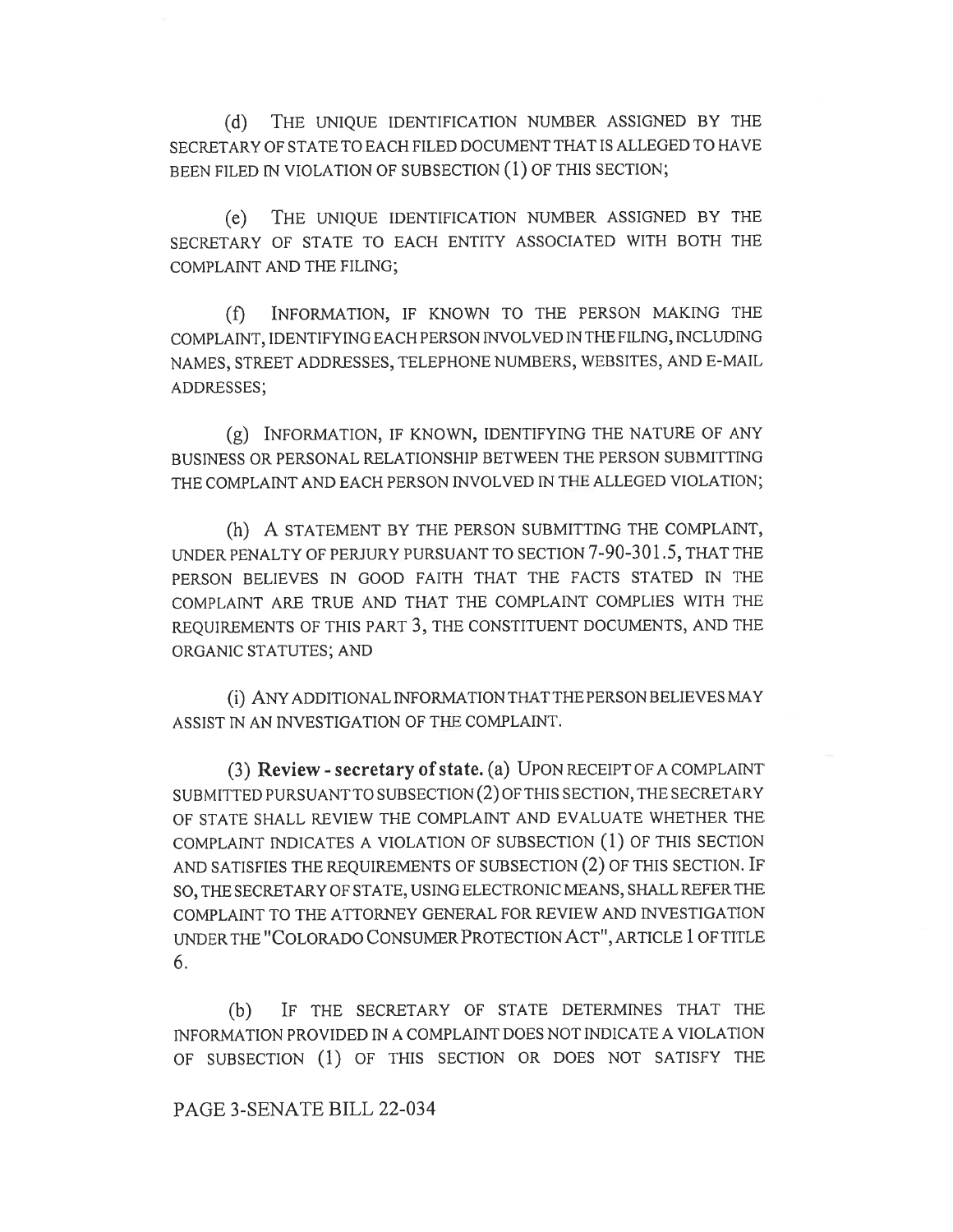(d) THE UNIQUE IDENTIFICATION NUMBER ASSIGNED BY THE SECRETARY OF STATE TO EACH FILED DOCUMENT THAT IS ALLEGED TO HAVE BEEN FILED IN VIOLATION OF SUBSECTION (1) OF THIS SECTION;

(e) THE UNIQUE IDENTIFICATION NUMBER ASSIGNED BY THE SECRETARY OF STATE TO EACH ENTITY ASSOCIATED WITH BOTH THE COMPLAINT AND THE FILING;

(f) INFORMATION, IF KNOWN TO THE PERSON MAKING THE COMPLAINT, IDENTIFYING EACH PERSON INVOLVED IN THE FILING, INCLUDING NAMES, STREET ADDRESSES, TELEPHONE NUMBERS, WEBSITES, AND E-MAIL ADDRESSES;

(g) INFORMATION, IF KNOWN, IDENTIFYING THE NATURE OF ANY BUSINESS OR PERSONAL RELATIONSHIP BETWEEN THE PERSON SUBMITTING THE COMPLAINT AND EACH PERSON INVOLVED IN THE ALLEGED VIOLATION;

(h) A STATEMENT BY THE PERSON SUBMITTING THE COMPLAINT, UNDER PENALTY OF PERJURY PURSUANT TO SECTION 7-90-301.5, THAT THE PERSON BELIEVES IN GOOD FAITH THAT THE FACTS STATED IN THE COMPLAINT ARE TRUE AND THAT THE COMPLAINT COMPLIES WITH THE REQUIREMENTS OF THIS PART 3, THE CONSTITUENT DOCUMENTS, AND THE ORGANIC STATUTES; AND

(i) ANY ADDITIONAL INFORMATION THAT THE PERSON BELIEVES MAY ASSIST IN AN INVESTIGATION OF THE COMPLAINT.

(3) Review - secretary of state. (a) UPON RECEIPT OF A COMPLAINT SUBMITTED PURSUANT TO SUBSECTION (2) OF THIS SECTION, THE SECRETARY OF STATE SHALL REVIEW THE COMPLAINT AND EVALUATE WHETHER THE COMPLAINT INDICATES A VIOLATION OF SUBSECTION (1) OF THIS SECTION AND SATISFIES THE REQUIREMENTS OF SUBSECTION (2) OF THIS SECTION. IF SO, THE SECRETARY OF STATE, USING ELECTRONIC MEANS, SHALL REFER THE COMPLAINT TO THE ATTORNEY GENERAL FOR REVIEW AND INVESTIGATION UNDER THE "COLORADO CONSUMER PROTECTION ACT", ARTICLE 1 OF TITLE 6.

(b) IF THE SECRETARY OF STATE DETERMINES THAT THE INFORMATION PROVIDED IN A COMPLAINT DOES NOT INDICATE A VIOLATION OF SUBSECTION (1) OF THIS SECTION OR DOES NOT SATISFY THE

## PAGE 3-SENATE BILL 22-034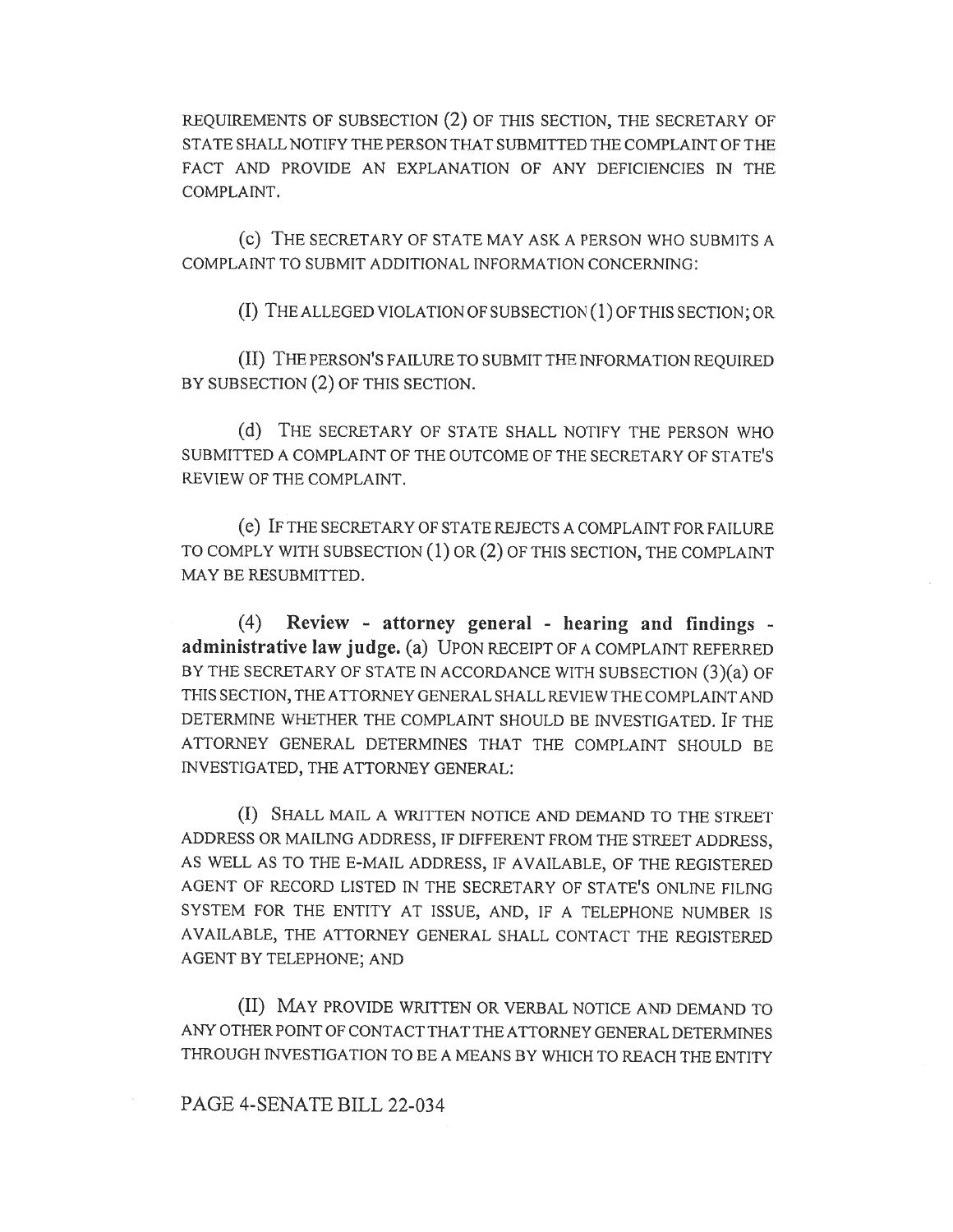REQUIREMENTS OF SUBSECTION (2) OF THIS SECTION, THE SECRETARY OF STATE SHALL NOTIFY THE PERSON THAT SUBMITTED THE COMPLAINT OF THE FACT AND PROVIDE AN EXPLANATION OF ANY DEFICIENCIES IN THE COMPLAINT.

(c) THE SECRETARY OF STATE MAY ASK A PERSON WHO SUBMITS A COMPLAINT TO SUBMIT ADDITIONAL INFORMATION CONCERNING:

(I) THE ALLEGED VIOLATION OF SUBSECTION (1) OF THIS SECTION; OR

(II) THE PERSON'S FAILURE TO SUBMIT THE INFORMATION REQUIRED BY SUBSECTION (2) OF THIS SECTION.

(d) THE SECRETARY OF STATE SHALL NOTIFY THE PERSON WHO SUBMITTED A COMPLAINT OF THE OUTCOME OF THE SECRETARY OF STATE'S REVIEW OF THE COMPLAINT.

(e) IF THE SECRETARY OF STATE REJECTS A COMPLAINT FOR FAILURE TO COMPLY WITH SUBSECTION (1) OR (2) OF THIS SECTION, THE COMPLAINT MAY BE RESUBMITTED.

(4) Review - attorney general - hearing and findings administrative law judge. (a) UPON RECEIPT OF A COMPLAINT REFERRED BY THE SECRETARY OF STATE IN ACCORDANCE WITH SUBSECTION (3)(a) OF THIS SECTION, THE ATTORNEY GENERAL SHALL REVIEW THE COMPLAINT AND DETERMINE WHETHER THE COMPLAINT SHOULD BE INVESTIGATED. IF THE ATTORNEY GENERAL DETERMINES THAT THE COMPLAINT SHOULD BE INVESTIGATED, THE ATTORNEY GENERAL:

(I) SHALL MAIL A WRITTEN NOTICE AND DEMAND TO THE STREET ADDRESS OR MAILING ADDRESS, IF DIFFERENT FROM THE STREET ADDRESS, AS WELL AS TO THE E-MAIL ADDRESS, IF AVAILABLE, OF THE REGISTERED AGENT OF RECORD LISTED IN THE SECRETARY OF STATE'S ONLINE FILING SYSTEM FOR THE ENTITY AT ISSUE, AND, IF A TELEPHONE NUMBER IS AVAILABLE, THE ATTORNEY GENERAL SHALL CONTACT THE REGISTERED AGENT BY TELEPHONE; AND

(II) MAY PROVIDE WRITTEN OR VERBAL NOTICE AND DEMAND TO ANY OTHER POINT OF CONTACT THAT THE ATTORNEY GENERAL DETERMINES THROUGH INVESTIGATION TO BE A MEANS BY WHICH TO REACH THE ENTITY

## PAGE 4-SENATE BILL 22-034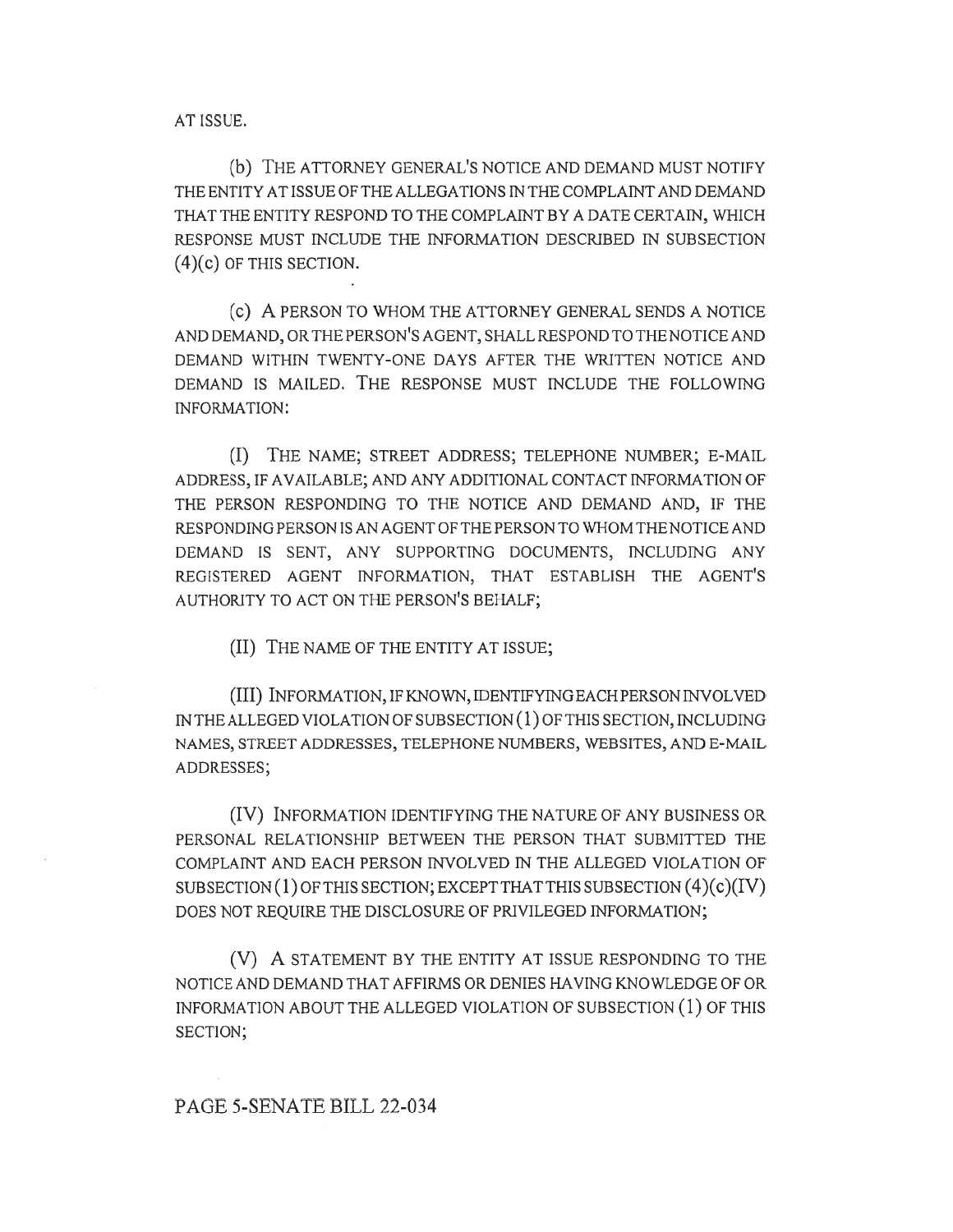AT ISSUE.

(b) THE ATTORNEY GENERAL'S NOTICE AND DEMAND MUST NOTIFY THE ENTITY AT ISSUE OF THE ALLEGATIONS IN THE COMPLAINT AND DEMAND THAT THE ENTITY RESPOND TO THE COMPLAINT BY A DATE CERTAIN, WHICH RESPONSE MUST INCLUDE THE INFORMATION DESCRIBED IN SUBSECTION  $(4)(c)$  OF THIS SECTION.

(c) A PERSON TO WHOM THE ATTORNEY GENERAL SENDS A NOTICE AND DEMAND, OR THE PERSON'S AGENT, SHALL RESPOND TO THE NOTICE AND DEMAND WITHIN TWENTY-ONE DAYS AFTER THE WRITTEN NOTICE AND DEMAND IS MAILED. THE RESPONSE MUST INCLUDE THE FOLLOWING INFORMATION:

(I) THE NAME; STREET ADDRESS; TELEPHONE NUMBER; E-MAIL ADDRESS, IF AVAILABLE; AND ANY ADDITIONAL CONTACT INFORMATION OF THE PERSON RESPONDING TO THE NOTICE AND DEMAND AND, IF THE RESPONDING PERSON IS AN AGENT OF THE PERSON TO WHOM THE NOTICE AND DEMAND IS SENT, ANY SUPPORTING DOCUMENTS, INCLUDING ANY REGISTERED AGENT INFORMATION, THAT ESTABLISH THE AGENT'S AUTHORITY TO ACT ON THE PERSON'S BEHALF;

(II) THE NAME OF THE ENTITY AT ISSUE;

(III) INFORMATION, IF KNOWN, IDENTIFYING EACH PERSON INVOLVED IN THE ALLEGED VIOLATION OF SUBSECTION (1) OF THIS SECTION, INCLUDING NAMES, STREET ADDRESSES, TELEPHONE NUMBERS, WEBSITES, AND E-MAIL ADDRESSES;

(IV) INFORMATION IDENTIFYING THE NATURE OF ANY BUSINESS OR PERSONAL RELATIONSHIP BETWEEN THE PERSON THAT SUBMITTED THE COMPLAINT AND EACH PERSON INVOLVED IN THE ALLEGED VIOLATION OF SUBSECTION (1) OF THIS SECTION; EXCEPT THAT THIS SUBSECTION  $(4)(c)(IV)$ DOES NOT REQUIRE THE DISCLOSURE OF PRIVILEGED INFORMATION;

(V) A STATEMENT BY THE ENTITY AT ISSUE RESPONDING TO THE NOTICE AND DEMAND THAT AFFIRMS OR DENIES HAVING KNOWLEDGE OF OR INFORMATION ABOUT THE ALLEGED VIOLATION OF SUBSECTION (1) OF THIS SECTION;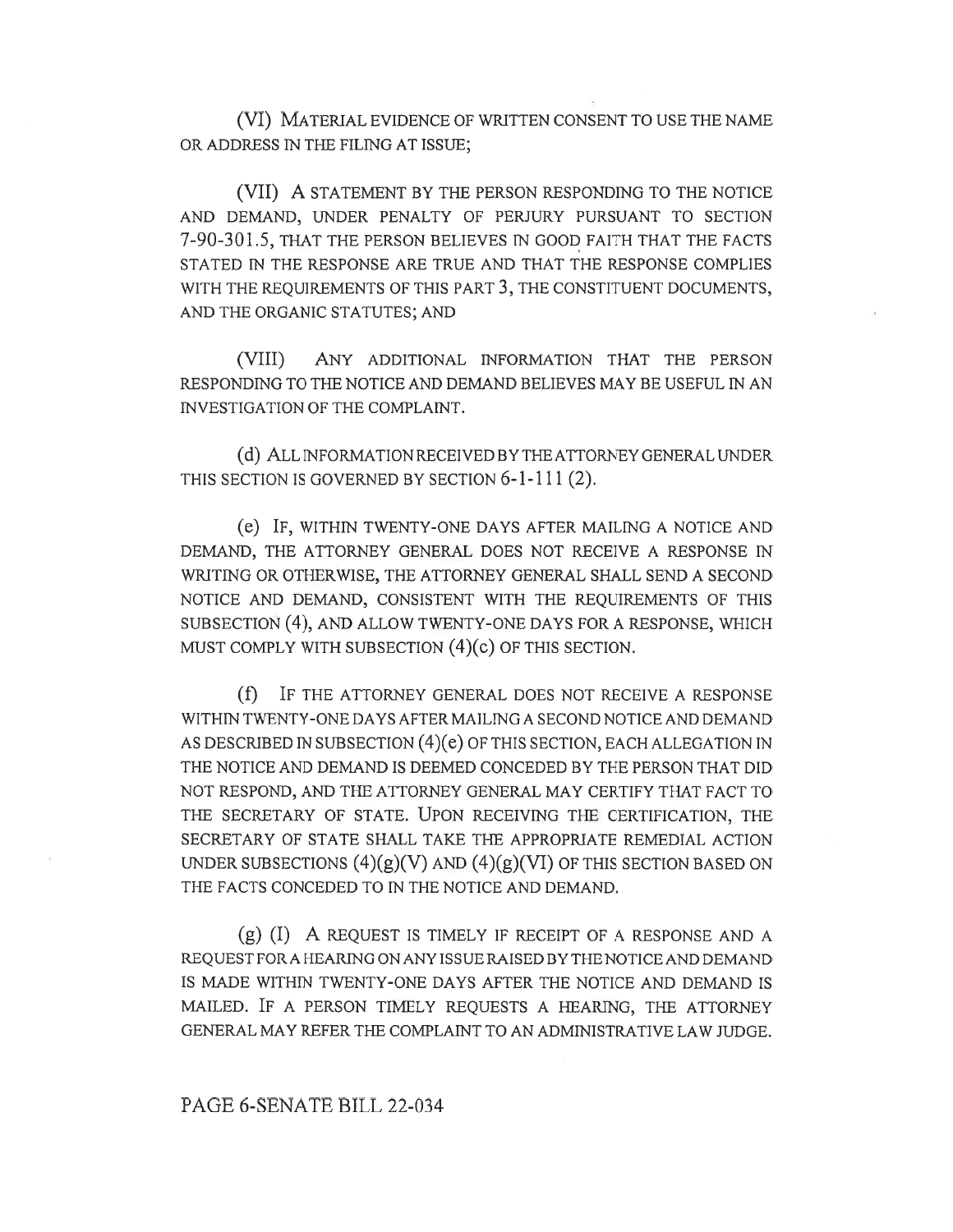(VI) MATERIAL EVIDENCE OF WRITTEN CONSENT TO USE THE NAME OR ADDRESS IN THE FILING AT ISSUE;

(VII) A STATEMENT BY THE PERSON RESPONDING TO THE NOTICE AND DEMAND, UNDER PENALTY OF PERJURY PURSUANT TO SECTION 7-90-301.5, THAT THE PERSON BELIEVES IN GOOD FAITH THAT THE FACTS STATED IN THE RESPONSE ARE TRUE AND THAT THE RESPONSE COMPLIES WITH THE REQUIREMENTS OF THIS PART 3, THE CONSTITUENT DOCUMENTS, AND THE ORGANIC STATUTES; AND

(VIII) ANY ADDITIONAL INFORMATION THAT THE PERSON RESPONDING TO THE NOTICE AND DEMAND BELIEVES MAY BE USEFUL IN AN INVESTIGATION OF THE COMPLAINT.

(d) ALL INFORMATION RECEIVED BY THE ATTORNEY GENERAL UNDER THIS SECTION IS GOVERNED BY SECTION 6-1-111 (2).

(e) IF, WITHIN TWENTY-ONE DAYS AFTER MAILING A NOTICE AND DEMAND, THE ATTORNEY GENERAL DOES NOT RECEIVE A RESPONSE IN WRITING OR OTHERWISE, THE ATTORNEY GENERAL SHALL SEND A SECOND NOTICE AND DEMAND, CONSISTENT WITH THE REQUIREMENTS OF THIS SUBSECTION (4), AND ALLOW TWENTY-ONE DAYS FOR A RESPONSE, WHICH MUST COMPLY WITH SUBSECTION (4)(c) OF THIS SECTION.

(f) IF THE ATTORNEY GENERAL DOES NOT RECEIVE A RESPONSE WITHIN TWENTY-ONE DAYS AFTER MAILING A SECOND NOTICE AND DEMAND AS DESCRIBED IN SUBSECTION (4)(e) OF THIS SECTION, EACH ALLEGATION IN THE NOTICE AND DEMAND IS DEEMED CONCEDED BY THE PERSON THAT DID NOT RESPOND, AND THE ATTORNEY GENERAL MAY CERTIFY THAT FACT TO THE SECRETARY OF STATE. UPON RECEIVING THE CERTIFICATION, THE SECRETARY OF STATE SHALL TAKE THE APPROPRIATE REMEDIAL ACTION UNDER SUBSECTIONS  $(4)(g)(V)$  AND  $(4)(g)(VI)$  OF THIS SECTION BASED ON THE FACTS CONCEDED TO IN THE NOTICE AND DEMAND.

(g) (I) A REQUEST IS TIMELY IF RECEIPT OF A RESPONSE AND A REQUEST FORA HEARING ON ANY ISSUE RAISED BY THE NOTICE AND DEMAND IS MADE WITHIN TWENTY-ONE DAYS AFTER THE NOTICE AND DEMAND IS MAILED. IF A PERSON TIMELY REQUESTS A HEARING, THE ATTORNEY GENERAL MAY REFER THE COMPLAINT TO AN ADMINISTRATIVE LAW JUDGE.

## PAGE 6-SENATE BILL 22-034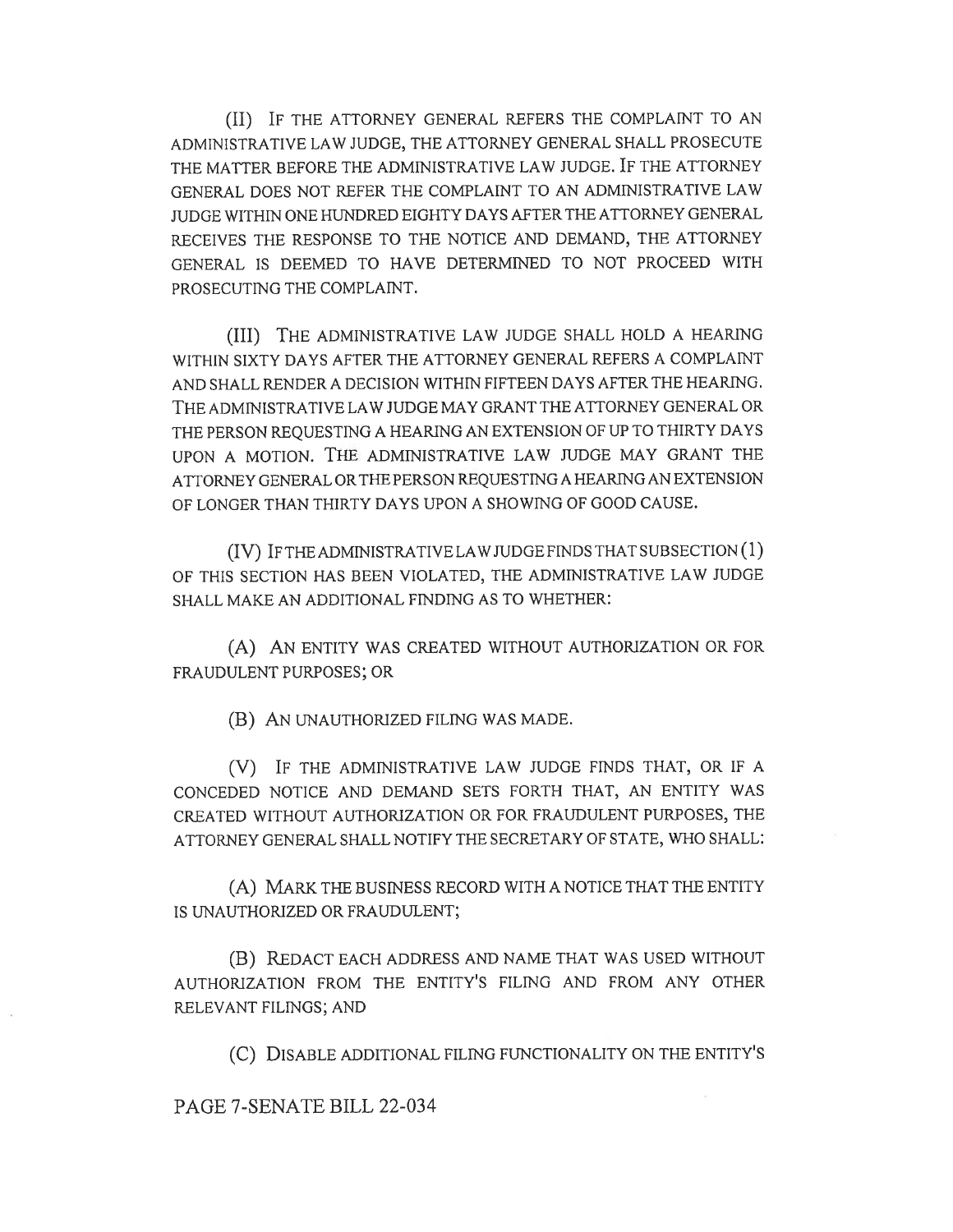(II) IF THE ATTORNEY GENERAL REFERS THE COMPLAINT TO AN ADMINISTRATIVE LAW JUDGE, THE ATTORNEY GENERAL SHALL PROSECUTE THE MATTER BEFORE THE ADMINISTRATIVE LAW JUDGE. IF THE ATTORNEY GENERAL DOES NOT REFER THE COMPLAINT TO AN ADMINISTRATIVE LAW JUDGE WITHIN ONE HUNDRED EIGHTY DAYS AFTER THE ATTORNEY GENERAL RECEIVES THE RESPONSE TO THE NOTICE AND DEMAND, THE ATTORNEY GENERAL IS DEEMED TO HAVE DETERMINED TO NOT PROCEED WITH PROSECUTING THE COMPLAINT.

(III) THE ADMINISTRATIVE LAW JUDGE SHALL HOLD A HEARING WITHIN SIXTY DAYS AFTER THE ATTORNEY GENERAL REFERS A COMPLAINT AND SHALL RENDER A DECISION WITHIN FIFTEEN DAYS AFTER THE HEARING. THE ADMINISTRATIVE LAW JUDGE MAY GRANT THE ATTORNEY GENERAL OR THE PERSON REQUESTING A HEARING AN EXTENSION OF UP TO THIRTY DAYS UPON A MOTION. THE ADMINISTRATIVE LAW JUDGE MAY GRANT THE ATTORNEY GENERAL OR THE PERSON REQUESTING A HEARING AN EXTENSION OF LONGER THAN THIRTY DAYS UPON A SHOWING OF GOOD CAUSE.

(IV) IF THE ADMINISTRATIVE LAW JUDGE FINDS THAT SUBSECTION (1) OF THIS SECTION HAS BEEN VIOLATED, THE ADMINISTRATIVE LAW JUDGE SHALL MAKE AN ADDITIONAL FINDING AS TO WHETHER:

(A) AN ENTITY WAS CREATED WITHOUT AUTHORIZATION OR FOR FRAUDULENT PURPOSES; OR

(B) AN UNAUTHORIZED FILING WAS MADE.

(V) IF THE ADMINISTRATIVE LAW JUDGE FINDS THAT, OR IF A CONCEDED NOTICE AND DEMAND SETS FORTH THAT, AN ENTITY WAS CREATED WITHOUT AUTHORIZATION OR FOR FRAUDULENT PURPOSES, THE ATTORNEY GENERAL SHALL NOTIFY THE SECRETARY OF STATE, WHO SHALL:

(A) MARK THE BUSINESS RECORD WITH A NOTICE THAT THE ENTITY IS UNAUTHORIZED OR FRAUDULENT;

(B) REDACT EACH ADDRESS AND NAME THAT WAS USED WITHOUT AUTHORIZATION FROM THE ENTITY'S FILING AND FROM ANY OTHER RELEVANT FILINGS; AND

(C) DISABLE ADDITIONAL FILING FUNCTIONALITY ON THE ENTITY'S

PAGE 7-SENATE BILL 22-034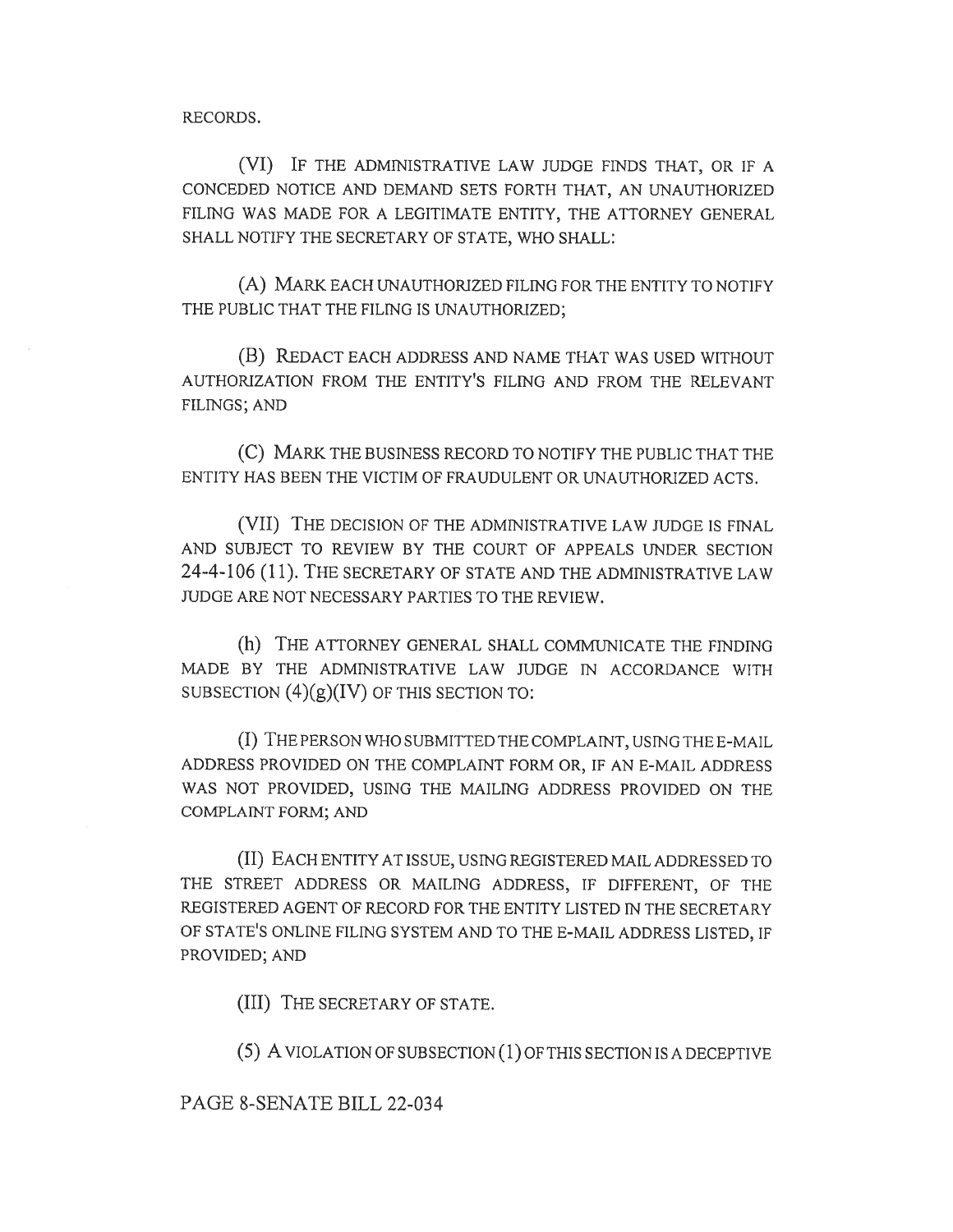RECORDS.

(VI) IF THE ADMINISTRATIVE LAW JUDGE FINDS THAT, OR IF A CONCEDED NOTICE AND DEMAND SETS FORTH THAT, AN UNAUTHORIZED FILING WAS MADE FOR A LEGITIMATE ENTITY, THE ATTORNEY GENERAL SHALL NOTIFY THE SECRETARY OF STATE, WHO SHALL:

(A) MARK EACH UNAUTHORIZED FILING FOR THE ENTITY TO NOTIFY THE PUBLIC THAT THE FILING IS UNAUTHORIZED;

(B) REDACT EACH ADDRESS AND NAME THAT WAS USED WITHOUT AUTHORIZATION FROM THE ENTITY'S FILING AND FROM THE RELEVANT FILINGS; AND

(C) MARK THE BUSINESS RECORD TO NOTIFY THE PUBLIC THAT THE ENTITY HAS BEEN THE VICTIM OF FRAUDULENT OR UNAUTHORIZED ACTS.

(VII) THE DECISION OF THE ADMINISTRATIVE LAW JUDGE IS FINAL AND SUBJECT TO REVIEW BY THE COURT OF APPEALS UNDER SECTION 24-4-106 (11). THE SECRETARY OF STATE AND THE ADMINISTRATIVE LAW JUDGE ARE NOT NECESSARY PARTIES TO THE REVIEW.

(h) THE ATTORNEY GENERAL SHALL COMMUNICATE THE FINDING MADE BY THE ADMINISTRATIVE LAW JUDGE IN ACCORDANCE WITH SUBSECTION  $(4)(g)(IV)$  OF THIS SECTION TO:

(I) THE PERSON WHO SUBMITTED THE COMPLAINT, USING THE E-MAIL ADDRESS PROVIDED ON THE COMPLAINT FORM OR, IF AN E-MAIL ADDRESS WAS NOT PROVIDED, USING THE MAILING ADDRESS PROVIDED ON THE COMPLAINT FORM; AND

(II) EACH ENTITY AT ISSUE, USING REGISTERED MAIL ADDRESSED TO THE STREET ADDRESS OR MAILING ADDRESS, IF DIFFERENT, OF THE REGISTERED AGENT OF RECORD FOR THE ENTITY LISTED IN THE SECRETARY OF STATE'S ONLINE FILING SYSTEM AND TO THE E-MAIL ADDRESS LISTED, IF PROVIDED; AND

(III) THE SECRETARY OF STATE.

(5) A VIOLATION OF SUBSECTION (1) OF THIS SECTION IS A DECEPTIVE

PAGE 8-SENATE BILL 22-034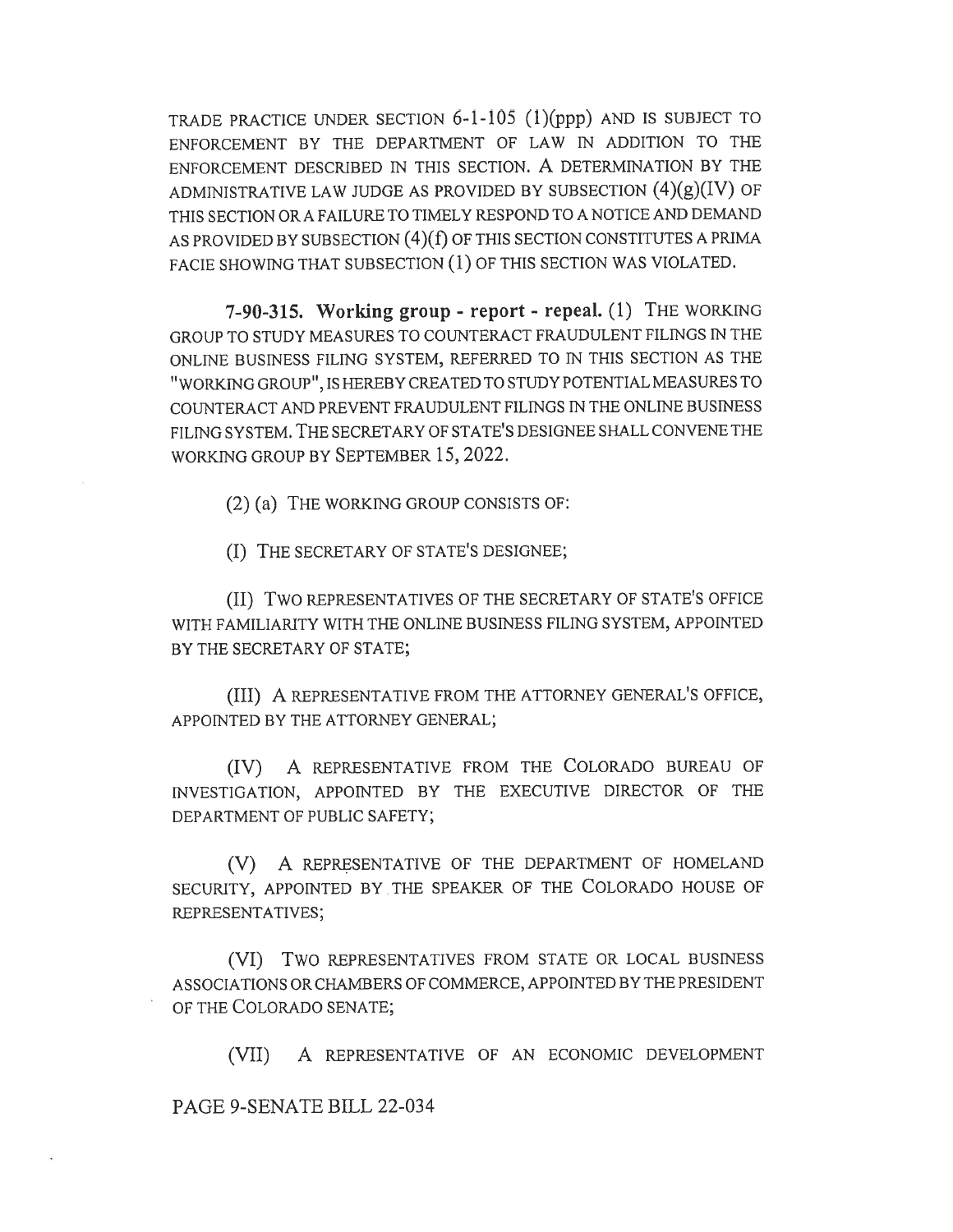TRADE PRACTICE UNDER SECTION 6-1-105 (1)(ppp) AND IS SUBJECT TO ENFORCEMENT BY THE DEPARTMENT OF LAW IN ADDITION TO THE ENFORCEMENT DESCRIBED IN THIS SECTION. A DETERMINATION BY THE ADMINISTRATIVE LAW JUDGE AS PROVIDED BY SUBSECTION  $(4)(g)(IV)$  OF THIS SECTION OR A FAILURE TO TIMELY RESPOND TO A NOTICE AND DEMAND AS PROVIDED BY SUBSECTION (4)(f) OF THIS SECTION CONSTITUTES A PRIMA FACIE SHOWING THAT SUBSECTION (1) OF THIS SECTION WAS VIOLATED.

7-90-315. Working group - report - repeal. (1) THE WORKING GROUP TO STUDY MEASURES TO COUNTERACT FRAUDULENT FILINGS IN THE ONLINE BUSINESS FILING SYSTEM, REFERRED TO IN THIS SECTION AS THE "WORKING GROUP", IS HEREBY CREATED TO STUDY POTENTIAL MEASURES TO COUNTERACT AND PREVENT FRAUDULENT FILINGS IN THE ONLINE BUSINESS FILING SYSTEM. THE SECRETARY OF STATE'S DESIGNEE SHALL CONVENE THE WORKING GROUP BY SEPTEMBER 15, 2022.

(2) (a) THE WORKING GROUP CONSISTS OF:

(I) THE SECRETARY OF STATE'S DESIGNEE;

(II) TWO REPRESENTATIVES OF THE SECRETARY OF STATE'S OFFICE WITH FAMILIARITY WITH THE ONLINE BUSINESS FILING SYSTEM, APPOINTED BY THE SECRETARY OF STATE;

(III) A REPRESENTATIVE FROM THE ATTORNEY GENERAL'S OFFICE, APPOINTED BY THE ATTORNEY GENERAL;

(IV) A REPRESENTATIVE FROM THE COLORADO BUREAU OF INVESTIGATION, APPOINTED BY THE EXECUTIVE DIRECTOR OF THE DEPARTMENT OF PUBLIC SAFETY;

(V) A REPRESENTATIVE OF THE DEPARTMENT OF HOMELAND SECURITY, APPOINTED BY THE SPEAKER OF THE COLORADO HOUSE OF REPRESENTATIVES;

(VI) Two REPRESENTATIVES FROM STATE OR LOCAL BUSINESS ASSOCIATIONS OR CHAMBERS OF COMMERCE, APPOINTED BY THE PRESIDENT OF THE COLORADO SENATE;

(VII) A REPRESENTATIVE OF AN ECONOMIC DEVELOPMENT

PAGE 9-SENATE BILL 22-034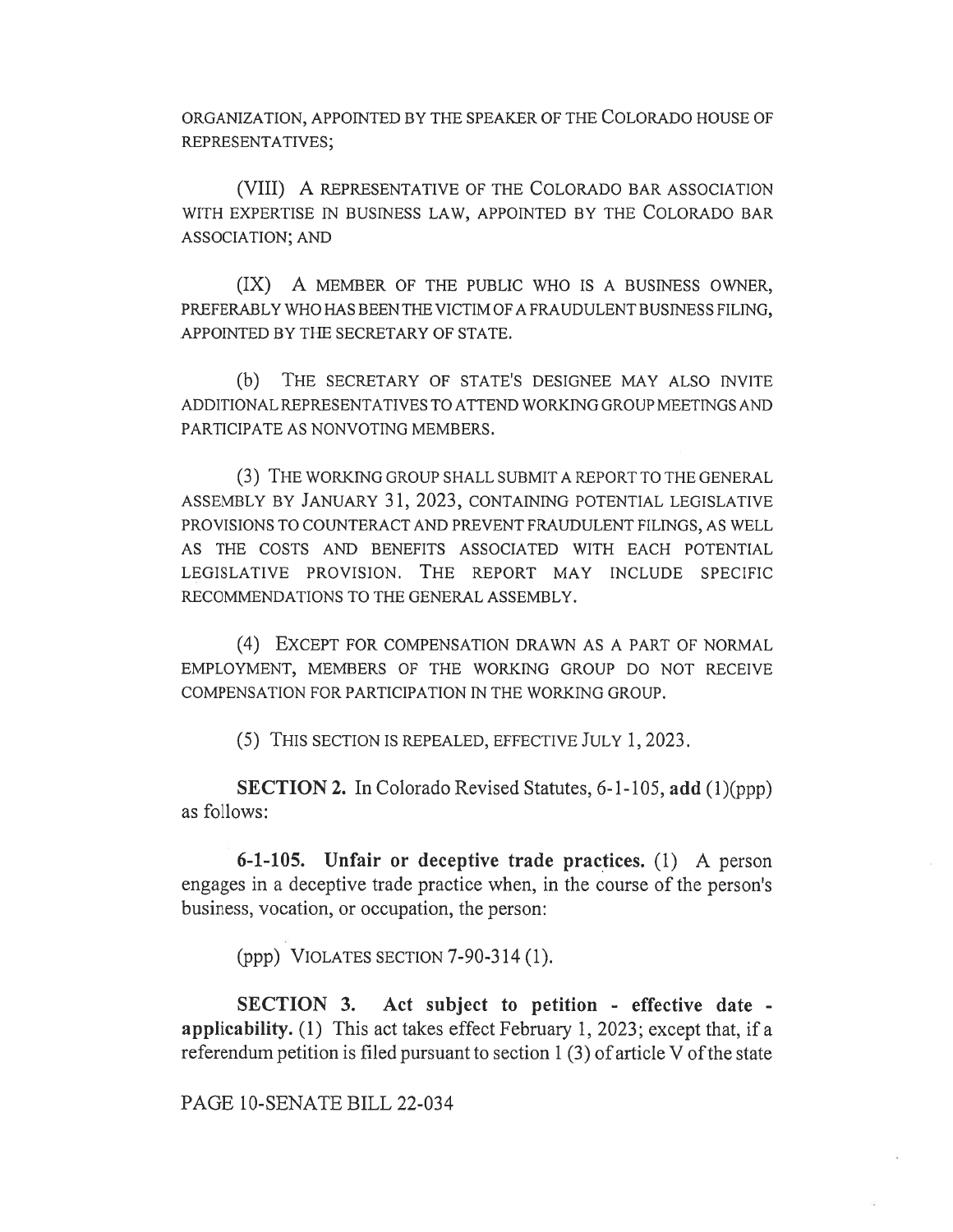ORGANIZATION, APPOINTED BY THE SPEAKER OF THE COLORADO HOUSE OF REPRESENTATIVES;

(VIII) A REPRESENTATIVE OF THE COLORADO BAR ASSOCIATION WITH EXPERTISE IN BUSINESS LAW, APPOINTED BY THE COLORADO BAR ASSOCIATION; AND

(IX) A MEMBER OF THE PUBLIC WHO IS A BUSINESS OWNER, PREFERABLY WHO HAS BEEN THE VICTIM OF A FRAUDULENT BUSINESS FILING, APPOINTED BY THE SECRETARY OF STATE.

(b) THE SECRETARY OF STATE'S DESIGNEE MAY ALSO INVITE ADDITIONAL REPRESENTATIVES TO ATTEND WORKING GROUP MEETINGS AND PARTICIPATE AS NONVOTING MEMBERS.

(3) THE WORKING GROUP SHALL SUBMIT A REPORT TO THE GENERAL ASSEMBLY BY JANUARY 31, 2023, CONTAINING POTENTIAL LEGISLATIVE PROVISIONS TO COUNTERACT AND PREVENT FRAUDULENT FILINGS, AS WELL AS THE COSTS AND BENEFITS ASSOCIATED WITH EACH POTENTIAL LEGISLATIVE PROVISION. THE REPORT MAY INCLUDE SPECIFIC RECOMMENDATIONS TO THE GENERAL ASSEMBLY.

(4) EXCEPT FOR COMPENSATION DRAWN AS A PART OF NORMAL EMPLOYMENT, MEMBERS OF THE WORKING GROUP DO NOT RECEIVE COMPENSATION FOR PARTICIPATION IN THE WORKING GROUP.

(5) THIS SECTION IS REPEALED, EFFECTIVE JULY 1, 2023.

SECTION 2. In Colorado Revised Statutes, 6-1-105, add (1)(ppp) as follows:

6-1-105. Unfair or deceptive trade practices. (1) A person engages in a deceptive trade practice when, in the course of the person's business, vocation, or occupation, the person:

(ppp) VIOLATES SECTION 7-90-314 (1).

SECTION 3. Act subject to petition - effective date applicability. (1) This act takes effect February 1, 2023; except that, if a referendum petition is filed pursuant to section 1 (3) of article V of the state

PAGE 10-SENATE BILL 22-034